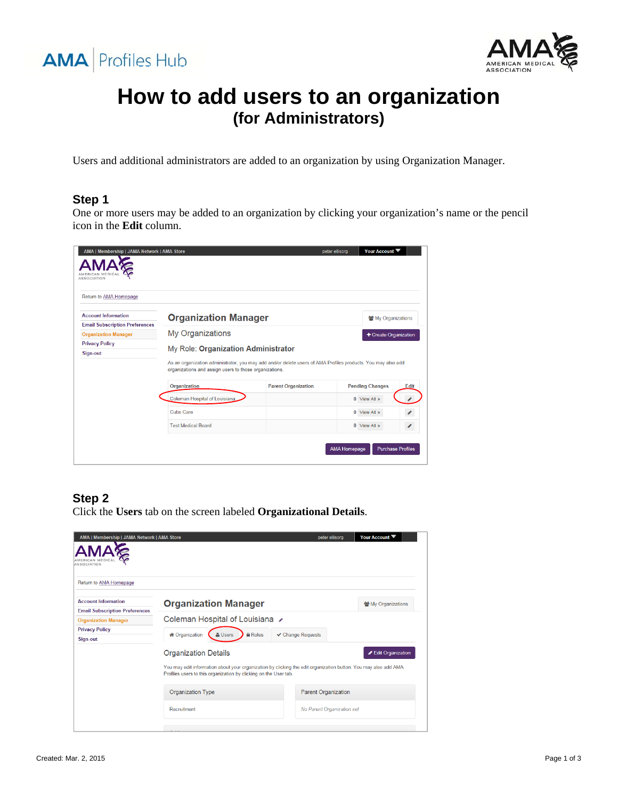



# **How to add users to an organization (for Administrators)**

Users and additional administrators are added to an organization by using Organization Manager.

#### **Step 1**

One or more users may be added to an organization by clicking your organization's name or the pencil icon in the **Edit** column.

| AMA   Membership   JAMA Network   AMA Store<br><b>ASSOCIATION</b>   |                                                                                                                                                                                                               |                            | peter ellisora         | Your Account             |  |
|---------------------------------------------------------------------|---------------------------------------------------------------------------------------------------------------------------------------------------------------------------------------------------------------|----------------------------|------------------------|--------------------------|--|
| Return to AMA Homepage                                              |                                                                                                                                                                                                               |                            |                        |                          |  |
| <b>Account Information</b><br><b>Email Subscription Preferences</b> | <b>Organization Manager</b>                                                                                                                                                                                   |                            |                        | My Organizations         |  |
| <b>Organization Manager</b>                                         | <b>My Organizations</b><br>+ Create Organization                                                                                                                                                              |                            |                        |                          |  |
| <b>Privacy Policy</b><br>Sign-out                                   | My Role: Organization Administrator<br>As an organization administrator, you may add and/or delete users of AMA Profiles products. You may also add<br>organizations and assign users to those organizations. |                            |                        |                          |  |
|                                                                     | Organization                                                                                                                                                                                                  | <b>Parent Organization</b> | <b>Pending Changes</b> | Edit                     |  |
|                                                                     | Coleman Hospital of Louisiana                                                                                                                                                                                 |                            |                        | $0$ View All $\gg$       |  |
|                                                                     | <b>Cubs Care</b>                                                                                                                                                                                              |                            | $0$ View All $\gg$     |                          |  |
|                                                                     | <b>Test Medical Board</b>                                                                                                                                                                                     |                            | $0$ View All $\gg$     | ℐ                        |  |
|                                                                     |                                                                                                                                                                                                               |                            | <b>AMA Homepage</b>    | <b>Purchase Profiles</b> |  |

## **Step 2**

Click the **Users** tab on the screen labeled **Organizational Details**.

| AMA   Membership   JAMA Network   AMA Store<br>ASSOCIATION          |                                                                                                                                                                                                                                         | peter ellisorg             | Your Account       |  |  |
|---------------------------------------------------------------------|-----------------------------------------------------------------------------------------------------------------------------------------------------------------------------------------------------------------------------------------|----------------------------|--------------------|--|--|
| Return to AMA Homepage                                              |                                                                                                                                                                                                                                         |                            |                    |  |  |
| <b>Account Information</b><br><b>Email Subscription Preferences</b> | <b>Organization Manager</b>                                                                                                                                                                                                             |                            | 상 My Organizations |  |  |
| <b>Organization Manager</b>                                         | Coleman Hospital of Louisiana ୵<br><b>*</b> Organization<br><b>A</b> Roles<br>← Change Requests<br><b>Users</b>                                                                                                                         |                            |                    |  |  |
| <b>Privacy Policy</b><br>Sign-out                                   |                                                                                                                                                                                                                                         |                            |                    |  |  |
|                                                                     | <b>Organization Details</b><br>Edit Organization<br>You may edit information about your organization by clicking the edit organization button. You may also add AMA<br>Profiles users to this organization by clicking on the User tab. |                            |                    |  |  |
|                                                                     | Organization Type                                                                                                                                                                                                                       | <b>Parent Organization</b> |                    |  |  |
|                                                                     | Recruitment                                                                                                                                                                                                                             | No Parent Organization set |                    |  |  |
|                                                                     |                                                                                                                                                                                                                                         |                            |                    |  |  |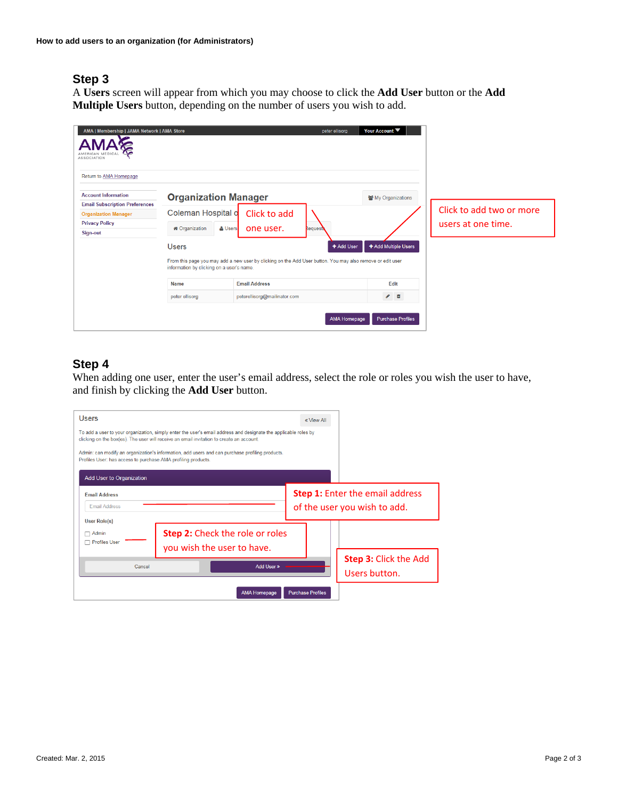## **Step 3**

A **Users** screen will appear from which you may choose to click the **Add User** button or the **Add Multiple Users** button, depending on the number of users you wish to add.

| AMA   Membership   JAMA Network   AMA Store<br>ASSOCIATION           |                                           |                                                                                                            | peter ellisorg      | Your Account ▼           |                          |
|----------------------------------------------------------------------|-------------------------------------------|------------------------------------------------------------------------------------------------------------|---------------------|--------------------------|--------------------------|
| Return to AMA Homepage                                               |                                           |                                                                                                            |                     |                          |                          |
| <b>Account Information</b>                                           | <b>Organization Manager</b>               |                                                                                                            |                     | 월 My Organizations       |                          |
| <b>Email Subscription Preferences</b><br><b>Organization Manager</b> | Coleman Hospital o                        | Click to add                                                                                               |                     |                          | Click to add two or more |
| <b>Privacy Policy</b>                                                |                                           |                                                                                                            |                     |                          | users at one time.       |
| Sign-out                                                             | <b>*</b> Organization<br>& Users          | one user.                                                                                                  | <b>Requests</b>     |                          |                          |
|                                                                      | <b>Users</b>                              |                                                                                                            | + Add User          | + Add Multiple Users     |                          |
|                                                                      | information by clicking on a user's name. | From this page you may add a new user by clicking on the Add User button. You may also remove or edit user |                     |                          |                          |
|                                                                      | Name                                      | <b>Email Address</b>                                                                                       |                     | Edit                     |                          |
|                                                                      | peter ellisorg                            | peterellisorg@mailinator.com                                                                               |                     | $\bullet$ 0              |                          |
|                                                                      |                                           |                                                                                                            | <b>AMA Homepage</b> | <b>Purchase Profiles</b> |                          |

## **Step 4**

When adding one user, enter the user's email address, select the role or roles you wish the user to have, and finish by clicking the **Add User** button.

| <b>Users</b><br>Profiles User: has access to purchase AMA profiling products.<br><b>Add User to Organization</b> | To add a user to your organization, simply enter the user's email address and designate the applicable roles by<br>clicking on the box(es). The user will receive an email invitation to create an account.<br>Admin: can modify an organization's information, add users and can purchase profiling products. | « View All                                    |                                                                        |
|------------------------------------------------------------------------------------------------------------------|----------------------------------------------------------------------------------------------------------------------------------------------------------------------------------------------------------------------------------------------------------------------------------------------------------------|-----------------------------------------------|------------------------------------------------------------------------|
| <b>Email Address</b><br><b>Email Address</b>                                                                     |                                                                                                                                                                                                                                                                                                                |                                               | <b>Step 1:</b> Enter the email address<br>of the user you wish to add. |
| <b>User Role(s)</b><br>$\Box$ Admin<br>Profiles User                                                             | <b>Step 2:</b> Check the role or roles<br>you wish the user to have.                                                                                                                                                                                                                                           |                                               |                                                                        |
| Add User »<br>Cancel                                                                                             |                                                                                                                                                                                                                                                                                                                | <b>Step 3: Click the Add</b><br>Users button. |                                                                        |
|                                                                                                                  | <b>AMA Homepage</b>                                                                                                                                                                                                                                                                                            | <b>Purchase Profiles</b>                      |                                                                        |